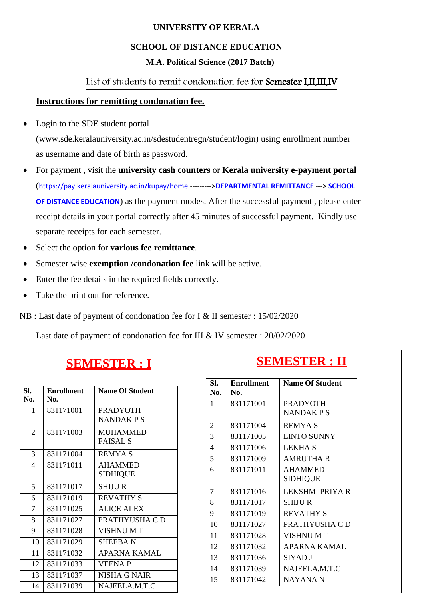#### **UNIVERSITY OF KERALA**

# **SCHOOL OF DISTANCE EDUCATION**

# **M.A. Political Science (2017 Batch)**

# List of students to remit condonation fee for Semester I,II,III,IV

# **Instructions for remitting condonation fee.**

• Login to the SDE student portal

[\(www.sde.keralauniversity.ac.in/sdestudentregn/student/login\) u](http://www.sde.keralauniversity.ac.in/sdestudentregn/student/login))sing enrollment number as username and date of birth as password.

- For payment , visit the **university cash counters** or **Kerala university e-payment portal** (<https://pay.keralauniversity.ac.in/kupay/home> --------->**DEPARTMENTAL REMITTANCE** ---> **SCHOOL OF DISTANCE EDUCATION**) as the payment modes. After the successful payment , please enter receipt details in your portal correctly after 45 minutes of successful payment. Kindly use separate receipts for each semester.
- Select the option for **various fee remittance**.
- Semester wise **exemption /condonation fee** link will be active.
- Enter the fee details in the required fields correctly.
- Take the print out for reference.

NB : Last date of payment of condonation fee for I & II semester : 15/02/2020

Last date of payment of condonation fee for III & IV semester : 20/02/2020

| <b>SEMESTER : I</b> |                          |                                       | <b>SEMESTER: II</b> |                     |                          |                                     |  |
|---------------------|--------------------------|---------------------------------------|---------------------|---------------------|--------------------------|-------------------------------------|--|
| SI.<br>No.          | <b>Enrollment</b><br>No. | <b>Name Of Student</b>                |                     | SI.<br>No.          | <b>Enrollment</b><br>No. | <b>Name Of Student</b>              |  |
| 1                   | 831171001                | <b>PRADYOTH</b><br><b>NANDAKPS</b>    |                     | $\mathbf{1}$        | 831171001                | <b>PRADYOTH</b><br><b>NANDAKPS</b>  |  |
| 2                   | 831171003                | <b>MUHAMMED</b><br><b>FAISAL S</b>    |                     | $\overline{2}$<br>3 | 831171004<br>831171005   | <b>REMYAS</b><br><b>LINTO SUNNY</b> |  |
| 3                   | 831171004                | <b>REMYAS</b>                         |                     | $\overline{4}$<br>5 | 831171006<br>831171009   | <b>LEKHA S</b><br><b>AMRUTHA R</b>  |  |
| $\overline{4}$      | 831171011                | <b>AHAMMED</b><br><b>SIDHIQUE</b>     |                     | 6                   | 831171011                | <b>AHAMMED</b><br><b>SIDHIQUE</b>   |  |
| 5                   | 831171017                | <b>SHIJUR</b>                         |                     | $\overline{7}$      | 831171016                | LEKSHMI PRIYA R                     |  |
| 6<br>$\tau$         | 831171019<br>831171025   | <b>REVATHY S</b><br><b>ALICE ALEX</b> |                     | 8                   | 831171017                | <b>SHIJUR</b>                       |  |
| 8                   | 831171027                | PRATHYUSHA CD                         |                     | 9<br>10             | 831171019<br>831171027   | <b>REVATHY S</b><br>PRATHYUSHA C D  |  |
| 9                   | 831171028                | <b>VISHNUMT</b>                       |                     | 11                  | 831171028                | <b>VISHNUMT</b>                     |  |
| 10<br>11            | 831171029<br>831171032   | <b>SHEEBAN</b><br><b>APARNA KAMAL</b> |                     | 12                  | 831171032                | <b>APARNA KAMAL</b>                 |  |
| 12                  | 831171033                | <b>VEENAP</b>                         |                     | 13                  | 831171036                | SIYAD J                             |  |
| 13                  | 831171037                | <b>NISHA G NAIR</b>                   |                     | 14<br>15            | 831171039<br>831171042   | NAJEELA.M.T.C<br><b>NAYANAN</b>     |  |
| 14                  | 831171039                | NAJEELA.M.T.C                         |                     |                     |                          |                                     |  |